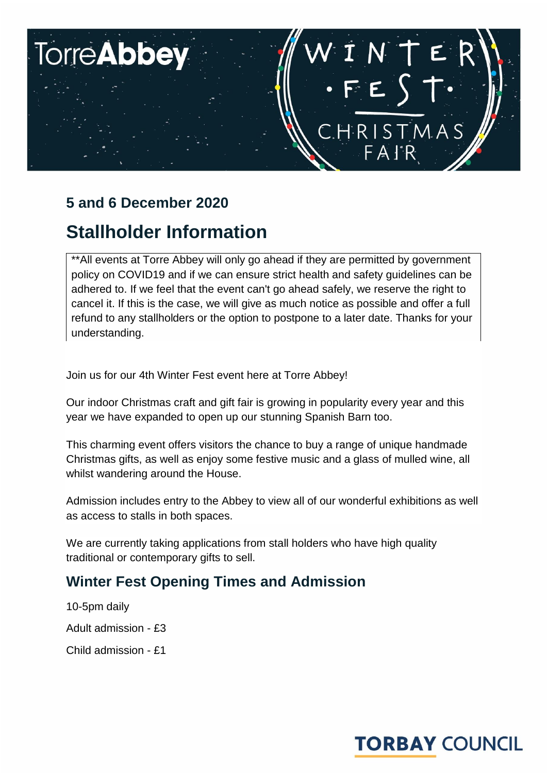# **TorreAbbey** VINTE CHRISTMAS FAIR

## **5 and 6 December 2020**

## **Stallholder Information**

\*\*All events at Torre Abbey will only go ahead if they are permitted by government policy on COVID19 and if we can ensure strict health and safety guidelines can be adhered to. If we feel that the event can't go ahead safely, we reserve the right to cancel it. If this is the case, we will give as much notice as possible and offer a full refund to any stallholders or the option to postpone to a later date. Thanks for your understanding.

Join us for our 4th Winter Fest event here at Torre Abbey!

Our indoor Christmas craft and gift fair is growing in popularity every year and this year we have expanded to open up our stunning Spanish Barn too.

This charming event offers visitors the chance to buy a range of unique handmade Christmas gifts, as well as enjoy some festive music and a glass of mulled wine, all whilst wandering around the House.

Admission includes entry to the Abbey to view all of our wonderful exhibitions as well as access to stalls in both spaces.

We are currently taking applications from stall holders who have high quality traditional or contemporary gifts to sell.

## **Winter Fest Opening Times and Admission**

10-5pm daily Adult admission - £3 Child admission - £1

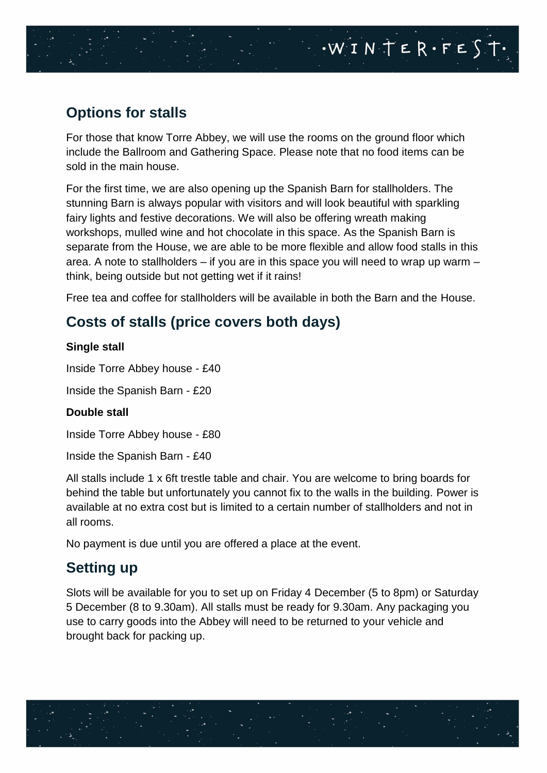## **Options for stalls**

For those that know Torre Abbey, we will use the rooms on the ground floor which include the Ballroom and Gathering Space. Please note that no food items can be sold in the main house.

WINTER·FEST.

For the first time, we are also opening up the Spanish Barn for stallholders. The stunning Barn is always popular with visitors and will look beautiful with sparkling fairy lights and festive decorations. We will also be offering wreath making workshops, mulled wine and hot chocolate in this space. As the Spanish Barn is separate from the House, we are able to be more flexible and allow food stalls in this area. A note to stallholders – if you are in this space you will need to wrap up warm – think, being outside but not getting wet if it rains!

Free tea and coffee for stallholders will be available in both the Barn and the House.

## **Costs of stalls (price covers both days)**

#### **Single stall**

Inside Torre Abbey house - £40

Inside the Spanish Barn - £20

#### **Double stall**

Inside Torre Abbey house - £80

Inside the Spanish Barn - £40

All stalls include 1 x 6ft trestle table and chair. You are welcome to bring boards for behind the table but unfortunately you cannot fix to the walls in the building. Power is available at no extra cost but is limited to a certain number of stallholders and not in all rooms.

No payment is due until you are offered a place at the event.

### **Setting up**

Slots will be available for you to set up on Friday 4 December (5 to 8pm) or Saturday 5 December (8 to 9.30am). All stalls must be ready for 9.30am. Any packaging you use to carry goods into the Abbey will need to be returned to your vehicle and brought back for packing up.